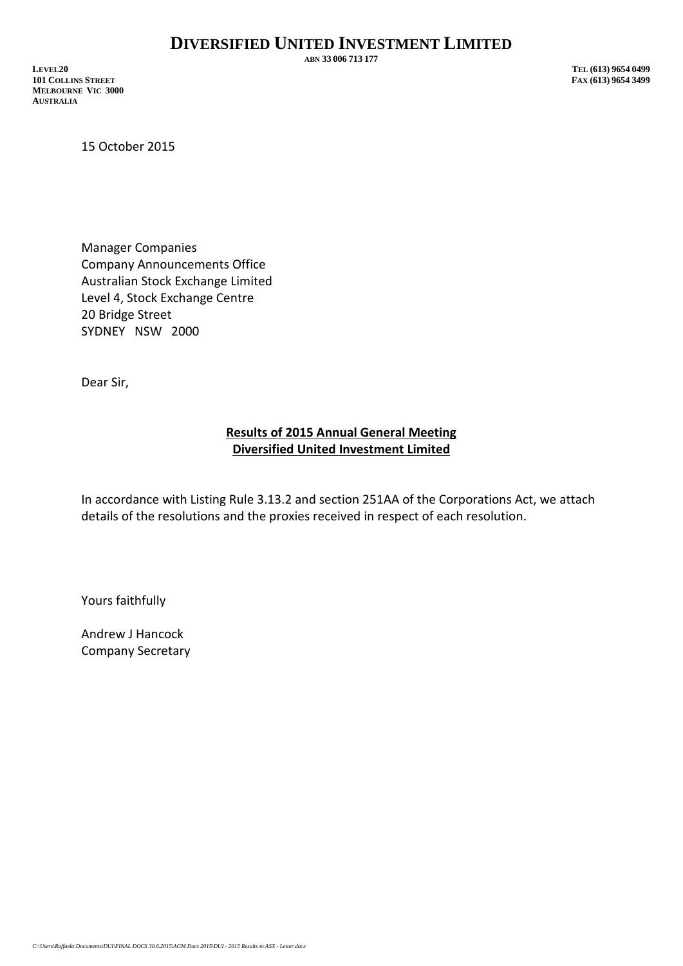**ABN 33 006 713 177**

**LEVEL20 TEL (613) 9654 0499 101 COLLINS STREET MELBOURNE VIC 3000 AUSTRALIA**

15 October 2015

Manager Companies Company Announcements Office Australian Stock Exchange Limited Level 4, Stock Exchange Centre 20 Bridge Street SYDNEY NSW 2000

Dear Sir,

## **Results of 2015 Annual General Meeting Diversified United Investment Limited**

In accordance with Listing Rule 3.13.2 and section 251AA of the Corporations Act, we attach details of the resolutions and the proxies received in respect of each resolution.

Yours faithfully

Andrew J Hancock Company Secretary